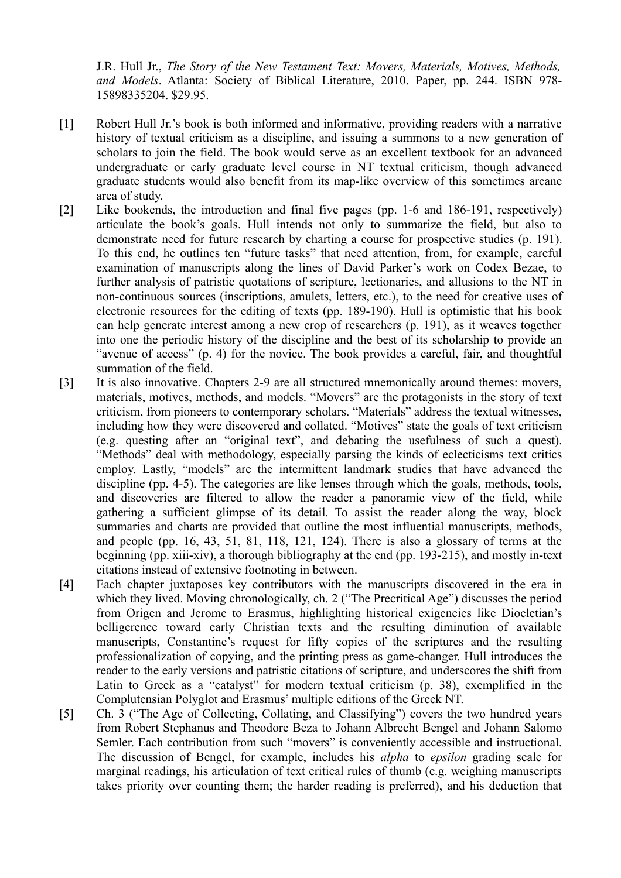J.R. Hull Jr., *The Story of the New Testament Text: Movers, Materials, Motives, Methods, and Models*. Atlanta: Society of Biblical Literature, 2010. Paper, pp. 244. ISBN 978- 15898335204. \$29.95.

- [1] Robert Hull Jr.'s book is both informed and informative, providing readers with a narrative history of textual criticism as a discipline, and issuing a summons to a new generation of scholars to join the field. The book would serve as an excellent textbook for an advanced undergraduate or early graduate level course in NT textual criticism, though advanced graduate students would also benefit from its map-like overview of this sometimes arcane area of study.
- [2] Like bookends, the introduction and final five pages (pp. 1-6 and 186-191, respectively) articulate the book's goals. Hull intends not only to summarize the field, but also to demonstrate need for future research by charting a course for prospective studies (p. 191). To this end, he outlines ten "future tasks" that need attention, from, for example, careful examination of manuscripts along the lines of David Parker's work on Codex Bezae, to further analysis of patristic quotations of scripture, lectionaries, and allusions to the NT in non-continuous sources (inscriptions, amulets, letters, etc.), to the need for creative uses of electronic resources for the editing of texts (pp. 189-190). Hull is optimistic that his book can help generate interest among a new crop of researchers (p. 191), as it weaves together into one the periodic history of the discipline and the best of its scholarship to provide an "avenue of access" (p. 4) for the novice. The book provides a careful, fair, and thoughtful summation of the field.
- [3] It is also innovative. Chapters 2-9 are all structured mnemonically around themes: movers, materials, motives, methods, and models. "Movers" are the protagonists in the story of text criticism, from pioneers to contemporary scholars. "Materials" address the textual witnesses, including how they were discovered and collated. "Motives" state the goals of text criticism (e.g. questing after an "original text", and debating the usefulness of such a quest). "Methods" deal with methodology, especially parsing the kinds of eclecticisms text critics employ. Lastly, "models" are the intermittent landmark studies that have advanced the discipline (pp. 4-5). The categories are like lenses through which the goals, methods, tools, and discoveries are filtered to allow the reader a panoramic view of the field, while gathering a sufficient glimpse of its detail. To assist the reader along the way, block summaries and charts are provided that outline the most influential manuscripts, methods, and people (pp. 16, 43, 51, 81, 118, 121, 124). There is also a glossary of terms at the beginning (pp. xiii-xiv), a thorough bibliography at the end (pp. 193-215), and mostly in-text citations instead of extensive footnoting in between.
- [4] Each chapter juxtaposes key contributors with the manuscripts discovered in the era in which they lived. Moving chronologically, ch. 2 ("The Precritical Age") discusses the period from Origen and Jerome to Erasmus, highlighting historical exigencies like Diocletian's belligerence toward early Christian texts and the resulting diminution of available manuscripts, Constantine's request for fifty copies of the scriptures and the resulting professionalization of copying, and the printing press as game-changer. Hull introduces the reader to the early versions and patristic citations of scripture, and underscores the shift from Latin to Greek as a "catalyst" for modern textual criticism (p. 38), exemplified in the Complutensian Polyglot and Erasmus' multiple editions of the Greek NT.
- [5] Ch. 3 ("The Age of Collecting, Collating, and Classifying") covers the two hundred years from Robert Stephanus and Theodore Beza to Johann Albrecht Bengel and Johann Salomo Semler. Each contribution from such "movers" is conveniently accessible and instructional. The discussion of Bengel, for example, includes his *alpha* to *epsilon* grading scale for marginal readings, his articulation of text critical rules of thumb (e.g. weighing manuscripts takes priority over counting them; the harder reading is preferred), and his deduction that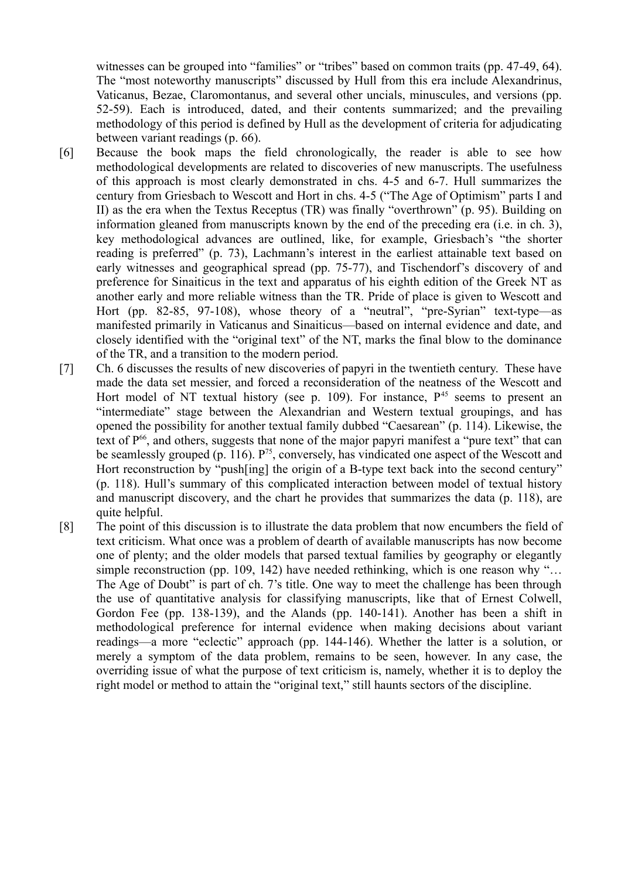witnesses can be grouped into "families" or "tribes" based on common traits (pp. 47-49, 64). The "most noteworthy manuscripts" discussed by Hull from this era include Alexandrinus, Vaticanus, Bezae, Claromontanus, and several other uncials, minuscules, and versions (pp. 52-59). Each is introduced, dated, and their contents summarized; and the prevailing methodology of this period is defined by Hull as the development of criteria for adjudicating between variant readings (p. 66).

- [6] Because the book maps the field chronologically, the reader is able to see how methodological developments are related to discoveries of new manuscripts. The usefulness of this approach is most clearly demonstrated in chs. 4-5 and 6-7. Hull summarizes the century from Griesbach to Wescott and Hort in chs. 4-5 ("The Age of Optimism" parts I and II) as the era when the Textus Receptus (TR) was finally "overthrown" (p. 95). Building on information gleaned from manuscripts known by the end of the preceding era (i.e. in ch. 3), key methodological advances are outlined, like, for example, Griesbach's "the shorter reading is preferred" (p. 73), Lachmann's interest in the earliest attainable text based on early witnesses and geographical spread (pp. 75-77), and Tischendorf's discovery of and preference for Sinaiticus in the text and apparatus of his eighth edition of the Greek NT as another early and more reliable witness than the TR. Pride of place is given to Wescott and Hort (pp. 82-85, 97-108), whose theory of a "neutral", "pre-Syrian" text-type—as manifested primarily in Vaticanus and Sinaiticus—based on internal evidence and date, and closely identified with the "original text" of the NT, marks the final blow to the dominance of the TR, and a transition to the modern period.
- [7] Ch. 6 discusses the results of new discoveries of papyri in the twentieth century. These have made the data set messier, and forced a reconsideration of the neatness of the Wescott and Hort model of NT textual history (see p. 109). For instance,  $P<sup>45</sup>$  seems to present an "intermediate" stage between the Alexandrian and Western textual groupings, and has opened the possibility for another textual family dubbed "Caesarean" (p. 114). Likewise, the text of  $P^{66}$ , and others, suggests that none of the major papyri manifest a "pure text" that can be seamlessly grouped  $(p. 116)$ .  $P^{75}$ , conversely, has vindicated one aspect of the Wescott and Hort reconstruction by "push[ing] the origin of a B-type text back into the second century" (p. 118). Hull's summary of this complicated interaction between model of textual history and manuscript discovery, and the chart he provides that summarizes the data (p. 118), are quite helpful.
- [8] The point of this discussion is to illustrate the data problem that now encumbers the field of text criticism. What once was a problem of dearth of available manuscripts has now become one of plenty; and the older models that parsed textual families by geography or elegantly simple reconstruction (pp. 109, 142) have needed rethinking, which is one reason why "... The Age of Doubt" is part of ch. 7's title. One way to meet the challenge has been through the use of quantitative analysis for classifying manuscripts, like that of Ernest Colwell, Gordon Fee (pp. 138-139), and the Alands (pp. 140-141). Another has been a shift in methodological preference for internal evidence when making decisions about variant readings—a more "eclectic" approach (pp. 144-146). Whether the latter is a solution, or merely a symptom of the data problem, remains to be seen, however. In any case, the overriding issue of what the purpose of text criticism is, namely, whether it is to deploy the right model or method to attain the "original text," still haunts sectors of the discipline.